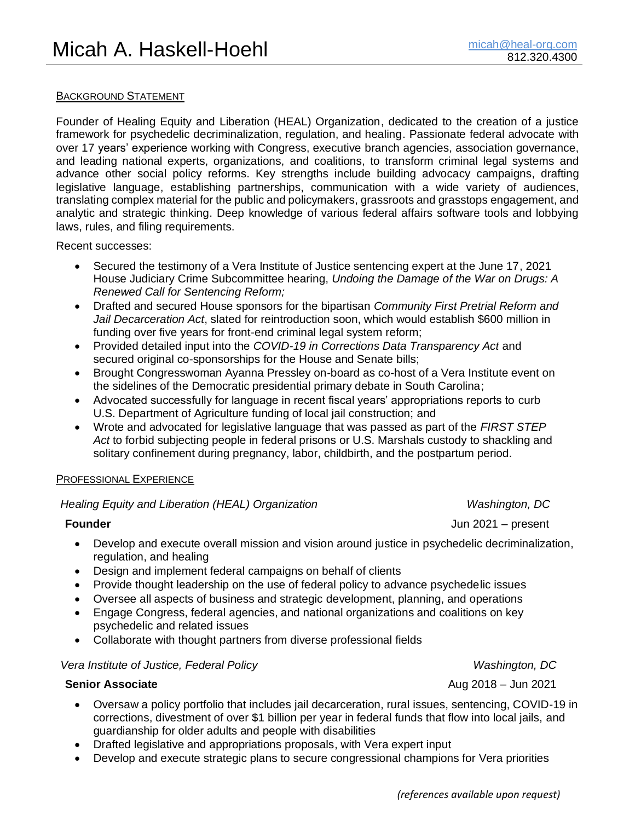## BACKGROUND STATEMENT

Founder of Healing Equity and Liberation (HEAL) Organization, dedicated to the creation of a justice framework for psychedelic decriminalization, regulation, and healing. Passionate federal advocate with over 17 years' experience working with Congress, executive branch agencies, association governance, and leading national experts, organizations, and coalitions, to transform criminal legal systems and advance other social policy reforms. Key strengths include building advocacy campaigns, drafting legislative language, establishing partnerships, communication with a wide variety of audiences, translating complex material for the public and policymakers, grassroots and grasstops engagement, and analytic and strategic thinking. Deep knowledge of various federal affairs software tools and lobbying laws, rules, and filing requirements.

Recent successes:

- Secured the testimony of a Vera Institute of Justice sentencing expert at the June 17, 2021 House Judiciary Crime Subcommittee hearing, *Undoing the Damage of the War on Drugs: A Renewed Call for Sentencing Reform;*
- Drafted and secured House sponsors for the bipartisan *Community First Pretrial Reform and Jail Decarceration Act*, slated for reintroduction soon, which would establish \$600 million in funding over five years for front-end criminal legal system reform;
- Provided detailed input into the *COVID-19 in Corrections Data Transparency Act* and secured original co-sponsorships for the House and Senate bills;
- Brought Congresswoman Ayanna Pressley on-board as co-host of a Vera Institute event on the sidelines of the Democratic presidential primary debate in South Carolina;
- Advocated successfully for language in recent fiscal years' appropriations reports to curb U.S. Department of Agriculture funding of local jail construction; and
- Wrote and advocated for legislative language that was passed as part of the *FIRST STEP Act* to forbid subjecting people in federal prisons or U.S. Marshals custody to shackling and solitary confinement during pregnancy, labor, childbirth, and the postpartum period.

## PROFESSIONAL EXPERIENCE

# *Healing Equity and Liberation (HEAL) Organization Washington, DC*

**Founder Founder Jun 2021** – present

- Develop and execute overall mission and vision around justice in psychedelic decriminalization, regulation, and healing
- Design and implement federal campaigns on behalf of clients
- Provide thought leadership on the use of federal policy to advance psychedelic issues
- Oversee all aspects of business and strategic development, planning, and operations
- Engage Congress, federal agencies, and national organizations and coalitions on key psychedelic and related issues
- Collaborate with thought partners from diverse professional fields

## *Vera Institute of Justice, Federal Policy Washington, DC*

- Oversaw a policy portfolio that includes jail decarceration, rural issues, sentencing, COVID-19 in corrections, divestment of over \$1 billion per year in federal funds that flow into local jails, and guardianship for older adults and people with disabilities
- Drafted legislative and appropriations proposals, with Vera expert input
- Develop and execute strategic plans to secure congressional champions for Vera priorities

**Senior Associate** Aug 2018 – Jun 2021 **Aug 2018** – Jun 2021